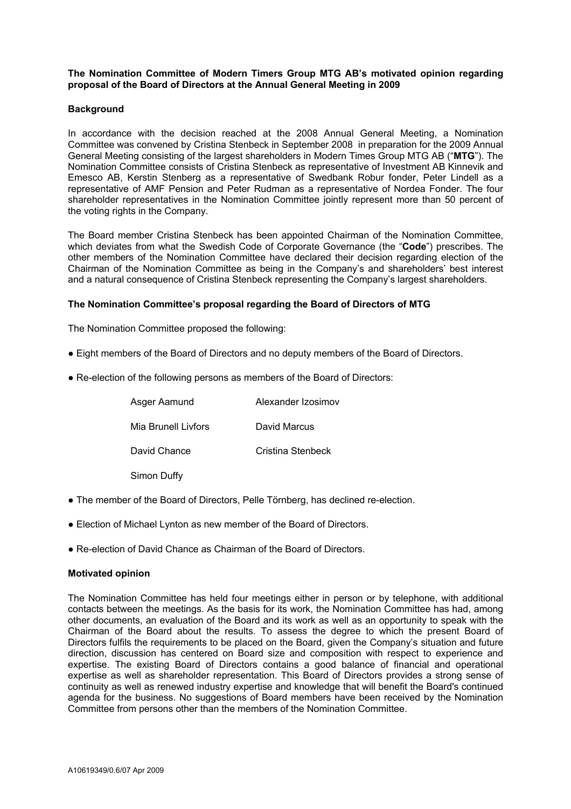# **The Nomination Committee of Modern Timers Group MTG AB's motivated opinion regarding proposal of the Board of Directors at the Annual General Meeting in 2009**

### **Background**

In accordance with the decision reached at the 2008 Annual General Meeting, a Nomination Committee was convened by Cristina Stenbeck in September 2008 in preparation for the 2009 Annual General Meeting consisting of the largest shareholders in Modern Times Group MTG AB ("**MTG**"). The Nomination Committee consists of Cristina Stenbeck as representative of Investment AB Kinnevik and Emesco AB, Kerstin Stenberg as a representative of Swedbank Robur fonder, Peter Lindell as a representative of AMF Pension and Peter Rudman as a representative of Nordea Fonder. The four shareholder representatives in the Nomination Committee jointly represent more than 50 percent of the voting rights in the Company.

The Board member Cristina Stenbeck has been appointed Chairman of the Nomination Committee, which deviates from what the Swedish Code of Corporate Governance (the "**Code**") prescribes. The other members of the Nomination Committee have declared their decision regarding election of the Chairman of the Nomination Committee as being in the Company's and shareholders' best interest and a natural consequence of Cristina Stenbeck representing the Company's largest shareholders.

#### **The Nomination Committee's proposal regarding the Board of Directors of MTG**

The Nomination Committee proposed the following:

- **●** Eight members of the Board of Directors and no deputy members of the Board of Directors.
- Re-election of the following persons as members of the Board of Directors:

| Asger Aamund        | Alexander Izosimov |
|---------------------|--------------------|
| Mia Brunell Livfors | David Marcus       |
| David Chance        | Cristina Stenbeck  |
| Simon Duffy         |                    |

- **●** The member of the Board of Directors, Pelle Törnberg, has declined re-election.
- Election of Michael Lynton as new member of the Board of Directors.
- Re-election of David Chance as Chairman of the Board of Directors.

#### **Motivated opinion**

The Nomination Committee has held four meetings either in person or by telephone, with additional contacts between the meetings. As the basis for its work, the Nomination Committee has had, among other documents, an evaluation of the Board and its work as well as an opportunity to speak with the Chairman of the Board about the results. To assess the degree to which the present Board of Directors fulfils the requirements to be placed on the Board, given the Company's situation and future direction, discussion has centered on Board size and composition with respect to experience and expertise. The existing Board of Directors contains a good balance of financial and operational expertise as well as shareholder representation. This Board of Directors provides a strong sense of continuity as well as renewed industry expertise and knowledge that will benefit the Board's continued agenda for the business. No suggestions of Board members have been received by the Nomination Committee from persons other than the members of the Nomination Committee.